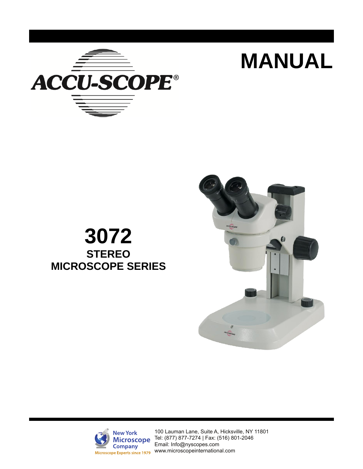

# **3072 STEREO MICROSCOPE SERIES**



 **MANUAL** 



100 Lauman Lane, Suite A, Hicksville, NY 11801 [Tel: \(877\)](http://www.accu-scope.com/) 87[7-7274 | Fax: \(516\) 801-2046](mailto:info@accu-scope.com) Email: Info@nyscopes.com WWW.microscopeinternational.com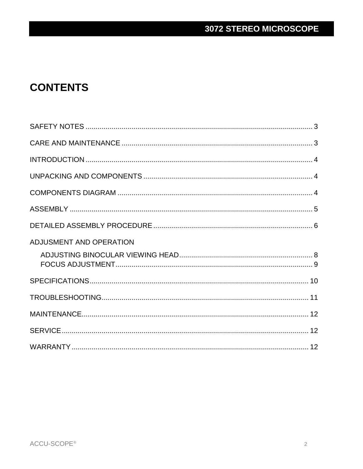## **CONTENTS**

| ADJUSMENT AND OPERATION |  |
|-------------------------|--|
|                         |  |
|                         |  |
|                         |  |
|                         |  |
|                         |  |
|                         |  |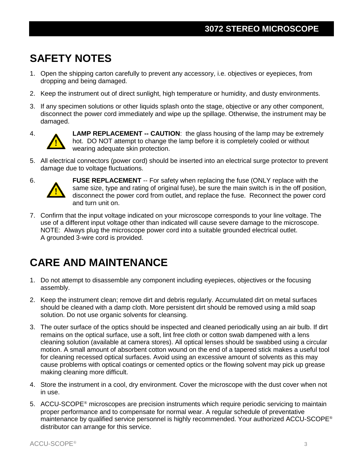# **SAFETY NOTES**

- 1. Open the shipping carton carefully to prevent any accessory, i.e. objectives or eyepieces, from dropping and being damaged.
- 2. Keep the instrument out of direct sunlight, high temperature or humidity, and dusty environments.
- 3. If any specimen solutions or other liquids splash onto the stage, objective or any other component, disconnect the power cord immediately and wipe up the spillage. Otherwise, the instrument may be damaged.



4. **LAMP REPLACEMENT -- CAUTION**: the glass housing of the lamp may be extremely hot. DO NOT attempt to change the lamp before it is completely cooled or without wearing adequate skin protection.

5. All electrical connectors (power cord) should be inserted into an electrical surge protector to prevent damage due to voltage fluctuations.



6. **FUSE REPLACEMENT** -- For safety when replacing the fuse (ONLY replace with the same size, type and rating of original fuse), be sure the main switch is in the off position, disconnect the power cord from outlet, and replace the fuse. Reconnect the power cord and turn unit on.

7. Confirm that the input voltage indicated on your microscope corresponds to your line voltage. The use of a different input voltage other than indicated will cause severe damage to the microscope. NOTE: Always plug the microscope power cord into a suitable grounded electrical outlet. A grounded 3-wire cord is provided.

## **CARE AND MAINTENANCE**

- 1. Do not attempt to disassemble any component including eyepieces, objectives or the focusing assembly.
- 2. Keep the instrument clean; remove dirt and debris regularly. Accumulated dirt on metal surfaces should be cleaned with a damp cloth. More persistent dirt should be removed using a mild soap solution. Do not use organic solvents for cleansing.
- 3. The outer surface of the optics should be inspected and cleaned periodically using an air bulb. If dirt remains on the optical surface, use a soft, lint free cloth or cotton swab dampened with a lens cleaning solution (available at camera stores). All optical lenses should be swabbed using a circular motion. A small amount of absorbent cotton wound on the end of a tapered stick makes a useful tool for cleaning recessed optical surfaces. Avoid using an excessive amount of solvents as this may cause problems with optical coatings or cemented optics or the flowing solvent may pick up grease making cleaning more difficult.
- 4. Store the instrument in a cool, dry environment. Cover the microscope with the dust cover when not in use.
- 5. ACCU-SCOPE® microscopes are precision instruments which require periodic servicing to maintain proper performance and to compensate for normal wear. A regular schedule of preventative maintenance by qualified service personnel is highly recommended. Your authorized ACCU-SCOPE® distributor can arrange for this service.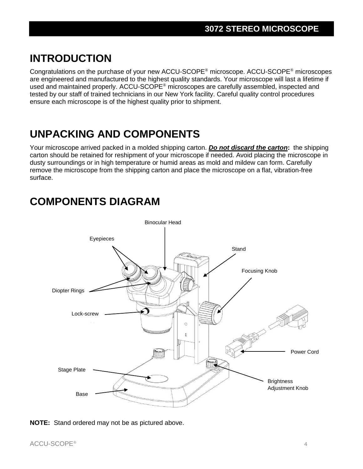## **INTRODUCTION**

Congratulations on the purchase of your new ACCU-SCOPE® microscope. ACCU-SCOPE® microscopes are engineered and manufactured to the highest quality standards. Your microscope will last a lifetime if used and maintained properly. ACCU-SCOPE® microscopes are carefully assembled, inspected and tested by our staff of trained technicians in our New York facility. Careful quality control procedures ensure each microscope is of the highest quality prior to shipment.

# **UNPACKING AND COMPONENTS**

Your microscope arrived packed in a molded shipping carton. *Do not discard the carton***:** the shipping carton should be retained for reshipment of your microscope if needed. Avoid placing the microscope in dusty surroundings or in high temperature or humid areas as mold and mildew can form. Carefully remove the microscope from the shipping carton and place the microscope on a flat, vibration-free surface.

## **COMPONENTS DIAGRAM**



**NOTE:** Stand ordered may not be as pictured above.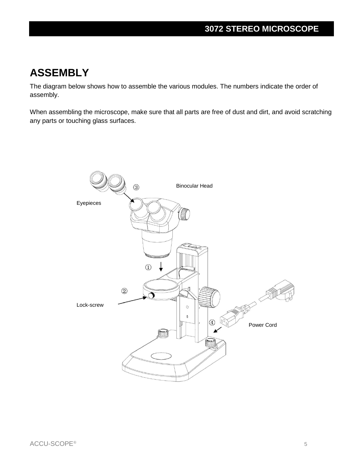## **ASSEMBLY**

The diagram below shows how to assemble the various modules. The numbers indicate the order of assembly.

When assembling the microscope, make sure that all parts are free of dust and dirt, and avoid scratching any parts or touching glass surfaces.

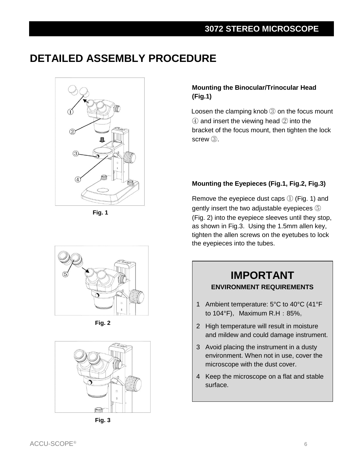# **DETAILED ASSEMBLY PROCEDURE**



**Fig. 1**

### **Mounting the Binocular/Trinocular Head (Fig.1)**

Loosen the clamping knob ③ on the focus mount ④ and insert the viewing head ② into the bracket of the focus mount, then tighten the lock screw **③**.

### **Mounting the Eyepieces (Fig.1, Fig.2, Fig.3)**

Remove the eyepiece dust caps ① (Fig. 1) and gently insert the two adjustable eyepieces ⑤ (Fig. 2) into the eyepiece sleeves until they stop, as shown in Fig.3. Using the 1.5mm allen key, tighten the allen screws on the eyetubes to lock the eyepieces into the tubes.



**Fig. 2**



**Fig. 3**

## **IMPORTANT ENVIRONMENT REQUIREMENTS**

- 1 Ambient temperature: 5°C to 40°C (41°F to  $104^{\circ}$ F), Maximum R.H: 85%.
- 2 High temperature will result in moisture and mildew and could damage instrument.
- 3 Avoid placing the instrument in a dusty environment. When not in use, cover the microscope with the dust cover.
- 4 Keep the microscope on a flat and stable surface.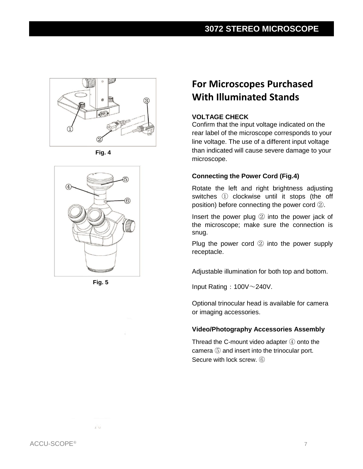

**Fig. 4**





ro

## **For Microscopes Purchased With Illuminated Stands**

### **VOLTAGE CHECK**

Confirm that the input voltage indicated on the rear label of the microscope corresponds to your line voltage. The use of a different input voltage than indicated will cause severe damage to your microscope.

### **Connecting the Power Cord (Fig.4)**

Rotate the left and right brightness adjusting switches ① clockwise until it stops (the off position) before connecting the power cord ②.

Insert the power plug ② into the power jack of the microscope; make sure the connection is snug.

Plug the power cord ② into the power supply receptacle.

Adjustable illumination for both top and bottom.

Input Rating:  $100V \sim 240V$ .

Optional trinocular head is available for camera or imaging accessories.

### **Video/Photography Accessories Assembly**

Thread the C-mount video adapter ④ onto the camera ⑤ and insert into the trinocular port. Secure with lock screw. ⑥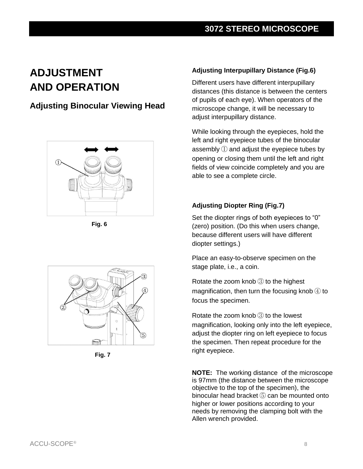# **ADJUSTMENT AND OPERATION**

### **Adjusting Binocular Viewing Head**



**Fig. 6**



**Fig. 7**

### **Adjusting Interpupillary Distance (Fig.6)**

Different users have different interpupillary distances (this distance is between the centers of pupils of each eye). When operators of the microscope change, it will be necessary to adjust interpupillary distance.

While looking through the eyepieces, hold the left and right eyepiece tubes of the binocular assembly ① and adjust the eyepiece tubes by opening or closing them until the left and right fields of view coincide completely and you are able to see a complete circle.

### **Adjusting Diopter Ring (Fig.7)**

Set the diopter rings of both eyepieces to "0" (zero) position. (Do this when users change, because different users will have different diopter settings.)

Place an easy-to-observe specimen on the stage plate, i.e., a coin.

Rotate the zoom knob ③ to the highest magnification, then turn the focusing knob  $\bigoplus$  to focus the specimen.

Rotate the zoom knob ③ to the lowest magnification, looking only into the left eyepiece, adjust the diopter ring on left eyepiece to focus the specimen. Then repeat procedure for the right eyepiece.

**NOTE:** The working distance of the microscope is 97mm (the distance between the microscope objective to the top of the specimen), the binocular head bracket ⑤ can be mounted onto higher or lower positions according to your needs by removing the clamping bolt with the Allen wrench provided.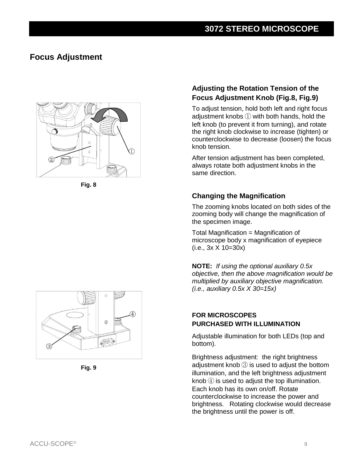### **Focus Adjustment**



**Fig. 8**

### **Adjusting the Rotation Tension of the Focus Adjustment Knob (Fig.8, Fig.9)**

To adjust tension, hold both left and right focus adjustment knobs ① with both hands, hold the left knob (to prevent it from turning), and rotate the right knob clockwise to increase (tighten) or counterclockwise to decrease (loosen) the focus knob tension.

After tension adjustment has been completed, always rotate both adjustment knobs in the same direction.

### **Changing the Magnification**

The zooming knobs located on both sides of the zooming body will change the magnification of the specimen image.

Total Magnification = Magnification of microscope body x magnification of eyepiece (i.e., 3x X 10=30x)

**NOTE:** *If using the optional auxiliary 0.5x objective, then the above magnification would be multiplied by auxiliary objective magnification. (i.e., auxiliary 0.5x X 30=15x)* 

### **FOR MICROSCOPES PURCHASED WITH ILLUMINATION**

Adjustable illumination for both LEDs (top and bottom).

Brightness adjustment: the right brightness adjustment knob ③ is used to adjust the bottom illumination, and the left brightness adjustment knob $\circled{4}$  is used to adjust the top illumination. Each knob has its own on/off. Rotate counterclockwise to increase the power and brightness. Rotating clockwise would decrease the brightness until the power is off.



**Fig. 9**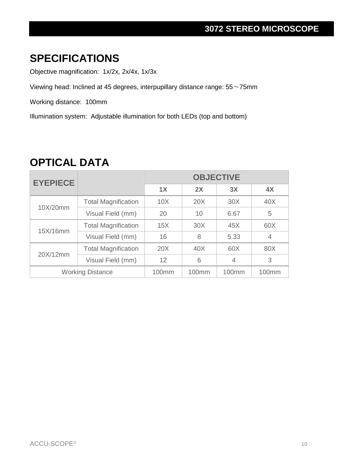## **3072 STEREO MICROSCOPE**

## **SPECIFICATIONS**

Objective magnification: 1x/2x, 2x/4x, 1x/3x

Viewing head: Inclined at 45 degrees, interpupillary distance range: 55~75mm

Working distance: 100mm

Illumination system: Adjustable illumination for both LEDs (top and bottom)

| <b>EYEPIECE</b>         |                            | <b>OBJECTIVE</b> |       |                |                |
|-------------------------|----------------------------|------------------|-------|----------------|----------------|
|                         |                            | 1X               | 2X    | 3X             | 4X             |
| 10X/20mm                | <b>Total Magnification</b> | 10X              | 20X   | 30X            | 40X            |
|                         | Visual Field (mm)          | 20               | 10    | 6.67           | 5              |
| 15X/16mm                | <b>Total Magnification</b> | 15X              | 30X   | 45X            | 60X            |
|                         | Visual Field (mm)          | 16               | 8     | 5.33           | $\overline{4}$ |
| 20X/12mm                | <b>Total Magnification</b> | 20X              | 40X   | 60X            | 80X            |
|                         | Visual Field (mm)          | 12               | 6     | $\overline{4}$ | 3              |
| <b>Working Distance</b> |                            | 100mm            | 100mm | 100mm          | 100mm          |

## **OPTICAL DATA**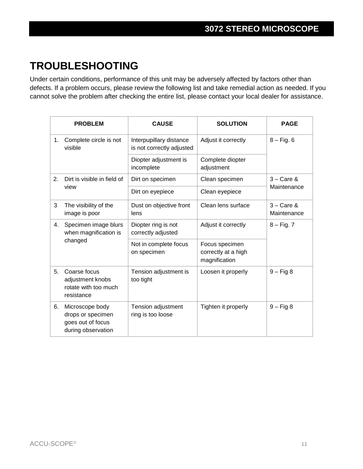# **TROUBLESHOOTING**

Under certain conditions, performance of this unit may be adversely affected by factors other than defects. If a problem occurs, please review the following list and take remedial action as needed. If you cannot solve the problem after checking the entire list, please contact your local dealer for assistance.

|    | <b>PROBLEM</b>                                                                  | <b>CAUSE</b>                                         | <b>SOLUTION</b>                                        | <b>PAGE</b>                         |  |
|----|---------------------------------------------------------------------------------|------------------------------------------------------|--------------------------------------------------------|-------------------------------------|--|
| 1. | Complete circle is not<br>visible                                               | Interpupillary distance<br>is not correctly adjusted | Adjust it correctly                                    | $8 - Fig. 6$                        |  |
|    |                                                                                 | Diopter adjustment is<br>incomplete                  | Complete diopter<br>adjustment                         |                                     |  |
| 2. | Dirt is visible in field of<br>view                                             | Dirt on specimen                                     | Clean specimen                                         | $3 - \text{Care } 8$<br>Maintenance |  |
|    |                                                                                 | Dirt on eyepiece                                     | Clean eyepiece                                         |                                     |  |
| 3  | The visibility of the<br>image is poor                                          | Dust on objective front<br>lens                      | Clean lens surface                                     | $3 - \text{Care } 8$<br>Maintenance |  |
| 4. | Specimen image blurs<br>when magnification is                                   | Diopter ring is not<br>correctly adjusted            | Adjust it correctly                                    | $8 - Fig. 7$                        |  |
|    | changed                                                                         | Not in complete focus<br>on specimen                 | Focus specimen<br>correctly at a high<br>magnification |                                     |  |
| 5. | Coarse focus<br>adjustment knobs<br>rotate with too much<br>resistance          | Tension adjustment is<br>too tight                   | $9 - Fig 8$<br>Loosen it properly                      |                                     |  |
| 6. | Microscope body<br>drops or specimen<br>goes out of focus<br>during observation | Tension adjustment<br>ring is too loose              | Tighten it properly                                    | $9 - Fig 8$                         |  |